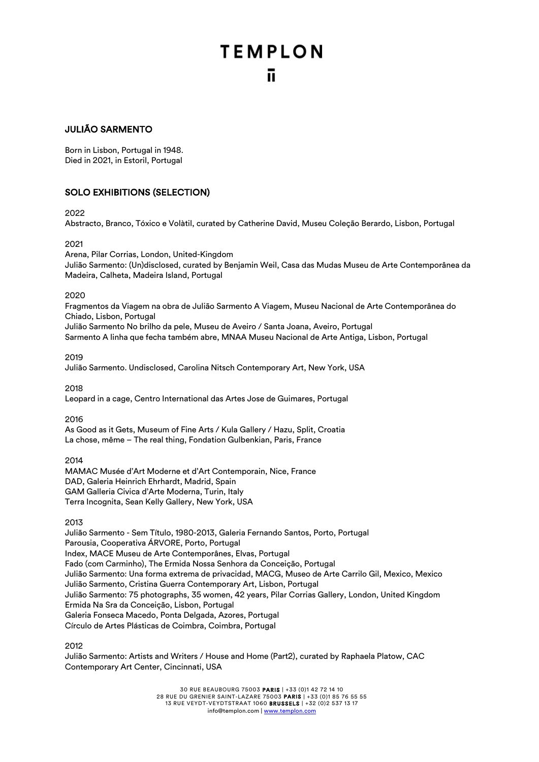## JULIÃO SARMENTO

Born in Lisbon, Portugal in 1948. Died in 2021, in Estoril, Portugal

## SOLO EXHIBITIONS (SELECTION)

2022

Abstracto, Branco, Tóxico e Volàtil, curated by Catherine David, Museu Coleção Berardo, Lisbon, Portugal

2021

Arena, Pilar Corrias, London, United-Kingdom Julião Sarmento: (Un)disclosed, curated by Benjamin Weil, Casa das Mudas Museu de Arte Contemporânea da Madeira, Calheta, Madeira Island, Portugal

## 2020

Fragmentos da Viagem na obra de Julião Sarmento A Viagem, Museu Nacional de Arte Contemporânea do Chiado, Lisbon, Portugal Julião Sarmento No brilho da pele, Museu de Aveiro / Santa Joana, Aveiro, Portugal Sarmento A linha que fecha também abre, MNAA Museu Nacional de Arte Antiga, Lisbon, Portugal

2019

Julião Sarmento. Undisclosed, Carolina Nitsch Contemporary Art, New York, USA

2018

Leopard in a cage, Centro International das Artes Jose de Guimares, Portugal

2016

As Good as it Gets, Museum of Fine Arts / Kula Gallery / Hazu, Split, Croatia La chose, même – The real thing, Fondation Gulbenkian, Paris, France

## 2014

MAMAC Musée d'Art Moderne et d'Art Contemporain, Nice, France DAD, Galeria Heinrich Ehrhardt, Madrid, Spain GAM Galleria Civica d'Arte Moderna, Turin, Italy Terra Incognita, Sean Kelly Gallery, New York, USA

2013

Julião Sarmento - Sem Título, 1980-2013, Galeria Fernando Santos, Porto, Portugal Parousia, Cooperativa ÁRVORE, Porto, Portugal Index, MACE Museu de Arte Contemporânes, Elvas, Portugal Fado (com Carminho), The Ermida Nossa Senhora da Conceição, Portugal Julião Sarmento: Una forma extrema de privacidad, MACG, Museo de Arte Carrilo Gil, Mexico, Mexico Julião Sarmento, Cristina Guerra Contemporary Art, Lisbon, Portugal Julião Sarmento: 75 photographs, 35 women, 42 years, Pilar Corrias Gallery, London, United Kingdom Ermida Na Sra da Conceição, Lisbon, Portugal Galeria Fonseca Macedo, Ponta Delgada, Azores, Portugal Círculo de Artes Plásticas de Coimbra, Coimbra, Portugal

2012

Julião Sarmento: Artists and Writers / House and Home (Part2), curated by Raphaela Platow, CAC Contemporary Art Center, Cincinnati, USA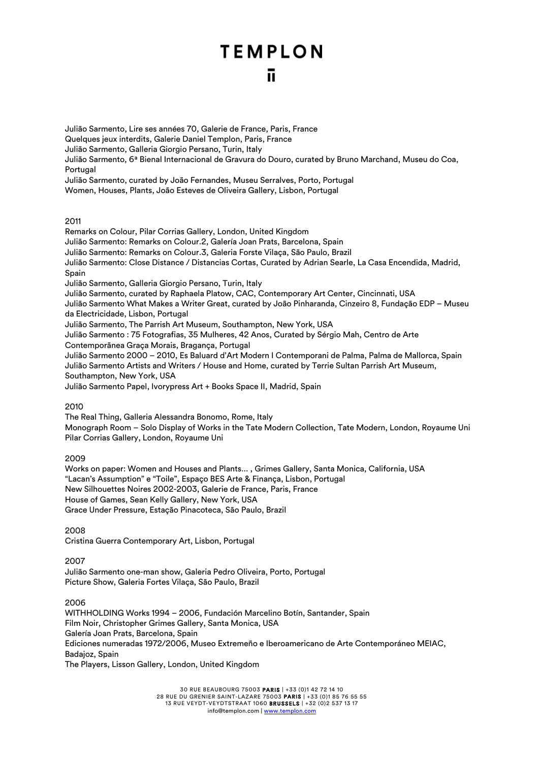Julião Sarmento, Lire ses années 70, Galerie de France, Paris, France

Quelques jeux interdits, Galerie Daniel Templon, Paris, France

Julião Sarmento, Galleria Giorgio Persano, Turin, Italy

Julião Sarmento, 6ª Bienal Internacional de Gravura do Douro, curated by Bruno Marchand, Museu do Coa, **Portugal** 

Julião Sarmento, curated by João Fernandes, Museu Serralves, Porto, Portugal

Women, Houses, Plants, João Esteves de Oliveira Gallery, Lisbon, Portugal

## 2011

Remarks on Colour, Pilar Corrias Gallery, London, United Kingdom Julião Sarmento: Remarks on Colour.2, Galería Joan Prats, Barcelona, Spain Julião Sarmento: Remarks on Colour.3, Galeria Forste Vilaça, São Paulo, Brazil Julião Sarmento: Close Distance / Distancias Cortas, Curated by Adrian Searle, La Casa Encendida, Madrid, Spain Julião Sarmento, Galleria Giorgio Persano, Turin, Italy Julião Sarmento, curated by Raphaela Platow, CAC, Contemporary Art Center, Cincinnati, USA Julião Sarmento What Makes a Writer Great, curated by João Pinharanda, Cinzeiro 8, Fundação EDP – Museu da Electricidade, Lisbon, Portugal Julião Sarmento, The Parrish Art Museum, Southampton, New York, USA Julião Sarmento : 75 Fotografias, 35 Mulheres, 42 Anos, Curated by Sérgio Mah, Centro de Arte Contemporãnea Graça Morais, Bragança, Portugal Julião Sarmento 2000 – 2010, Es Baluard d'Art Modern I Contemporani de Palma, Palma de Mallorca, Spain Julião Sarmento Artists and Writers / House and Home, curated by Terrie Sultan Parrish Art Museum,

Southampton, New York, USA

Julião Sarmento Papel, Ivorypress Art + Books Space II, Madrid, Spain

## 2010

The Real Thing, Galleria Alessandra Bonomo, Rome, Italy Monograph Room – Solo Display of Works in the Tate Modern Collection, Tate Modern, London, Royaume Uni Pilar Corrias Gallery, London, Royaume Uni

2009

Works on paper: Women and Houses and Plants... , Grimes Gallery, Santa Monica, California, USA "Lacan's Assumption" e "Toile", Espaço BES Arte & Finança, Lisbon, Portugal New Silhouettes Noires 2002-2003, Galerie de France, Paris, France House of Games, Sean Kelly Gallery, New York, USA Grace Under Pressure, Estação Pinacoteca, São Paulo, Brazil

2008 Cristina Guerra Contemporary Art, Lisbon, Portugal

2007

Julião Sarmento one-man show, Galeria Pedro Oliveira, Porto, Portugal Picture Show, Galeria Fortes Vilaça, São Paulo, Brazil

2006

WITHHOLDING Works 1994 – 2006, Fundación Marcelino Botín, Santander, Spain Film Noir, Christopher Grimes Gallery, Santa Monica, USA Galería Joan Prats, Barcelona, Spain Ediciones numeradas 1972/2006, Museo Extremeño e Iberoamericano de Arte Contemporáneo MEIAC, Badajoz, Spain The Players, Lisson Gallery, London, United Kingdom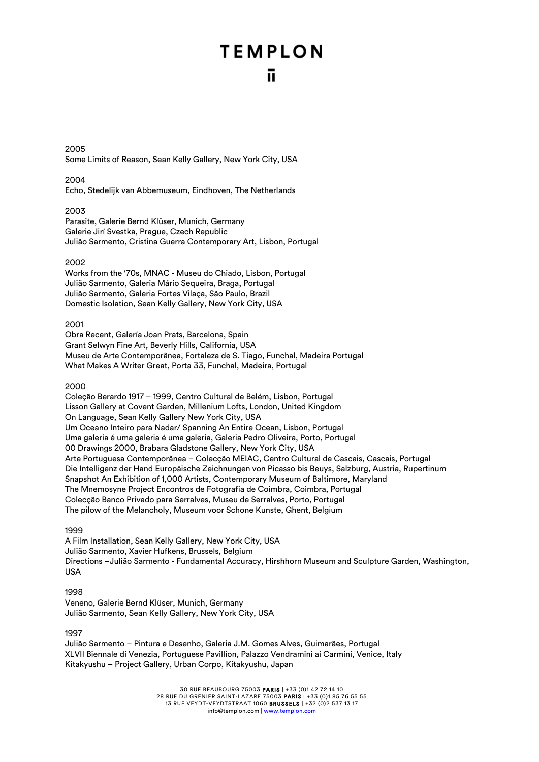2005 Some Limits of Reason, Sean Kelly Gallery, New York City, USA

### 2004

Echo, Stedelijk van Abbemuseum, Eindhoven, The Netherlands

#### 2003

Parasite, Galerie Bernd Klüser, Munich, Germany Galerie Jirí Svestka, Prague, Czech Republic Julião Sarmento, Cristina Guerra Contemporary Art, Lisbon, Portugal

### 2002

Works from the '70s, MNAC - Museu do Chiado, Lisbon, Portugal Julião Sarmento, Galeria Mário Sequeira, Braga, Portugal Julião Sarmento, Galeria Fortes Vilaça, São Paulo, Brazil Domestic Isolation, Sean Kelly Gallery, New York City, USA

#### 2001

Obra Recent, Galería Joan Prats, Barcelona, Spain Grant Selwyn Fine Art, Beverly Hills, California, USA Museu de Arte Contemporânea, Fortaleza de S. Tiago, Funchal, Madeira Portugal What Makes A Writer Great, Porta 33, Funchal, Madeira, Portugal

## 2000

Coleção Berardo 1917 – 1999, Centro Cultural de Belém, Lisbon, Portugal Lisson Gallery at Covent Garden, Millenium Lofts, London, United Kingdom On Language, Sean Kelly Gallery New York City, USA Um Oceano Inteiro para Nadar/ Spanning An Entire Ocean, Lisbon, Portugal Uma galeria é uma galeria é uma galeria, Galeria Pedro Oliveira, Porto, Portugal 00 Drawings 2000, Brabara Gladstone Gallery, New York City, USA Arte Portuguesa Contemporânea – Colecção MEIAC, Centro Cultural de Cascais, Cascais, Portugal Die Intelligenz der Hand Europäische Zeichnungen von Picasso bis Beuys, Salzburg, Austria, Rupertinum Snapshot An Exhibition of 1,000 Artists, Contemporary Museum of Baltimore, Maryland The Mnemosyne Project Encontros de Fotografia de Coimbra, Coimbra, Portugal Colecção Banco Privado para Serralves, Museu de Serralves, Porto, Portugal The pilow of the Melancholy, Museum voor Schone Kunste, Ghent, Belgium

#### 1999

A Film Installation, Sean Kelly Gallery, New York City, USA Julião Sarmento, Xavier Hufkens, Brussels, Belgium Directions –Julião Sarmento - Fundamental Accuracy, Hirshhorn Museum and Sculpture Garden, Washington, USA

#### 1998

Veneno, Galerie Bernd Klüser, Munich, Germany Julião Sarmento, Sean Kelly Gallery, New York City, USA

#### 1997

Julião Sarmento – Pintura e Desenho, Galeria J.M. Gomes Alves, Guimarães, Portugal XLVII Biennale di Venezia, Portuguese Pavillion, Palazzo Vendramini ai Carmini, Venice, Italy Kitakyushu – Project Gallery, Urban Corpo, Kitakyushu, Japan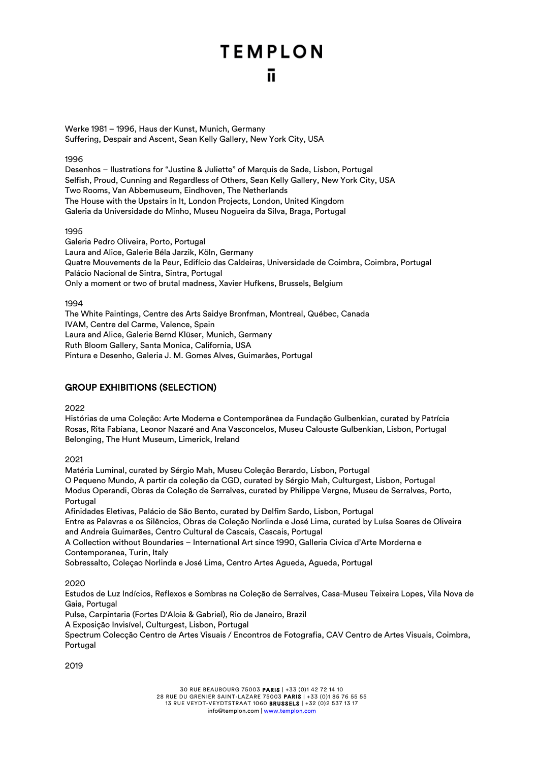Werke 1981 – 1996, Haus der Kunst, Munich, Germany Suffering, Despair and Ascent, Sean Kelly Gallery, New York City, USA

## 1996

Desenhos – Ilustrations for "Justine & Juliette" of Marquis de Sade, Lisbon, Portugal Selfish, Proud, Cunning and Regardless of Others, Sean Kelly Gallery, New York City, USA Two Rooms, Van Abbemuseum, Eindhoven, The Netherlands The House with the Upstairs in It, London Projects, London, United Kingdom Galeria da Universidade do Minho, Museu Nogueira da Silva, Braga, Portugal

## 1995

Galeria Pedro Oliveira, Porto, Portugal Laura and Alice, Galerie Béla Jarzik, Köln, Germany Quatre Mouvements de la Peur, Edifício das Caldeiras, Universidade de Coimbra, Coimbra, Portugal Palácio Nacional de Sintra, Sintra, Portugal Only a moment or two of brutal madness, Xavier Hufkens, Brussels, Belgium

1994

The White Paintings, Centre des Arts Saidye Bronfman, Montreal, Québec, Canada IVAM, Centre del Carme, Valence, Spain Laura and Alice, Galerie Bernd Klüser, Munich, Germany Ruth Bloom Gallery, Santa Monica, California, USA Pintura e Desenho, Galeria J. M. Gomes Alves, Guimarães, Portugal

## GROUP EXHIBITIONS (SELECTION)

2022

Histórias de uma Coleção: Arte Moderna e Contemporânea da Fundação Gulbenkian, curated by Patrícia Rosas, Rita Fabiana, Leonor Nazaré and Ana Vasconcelos, Museu Calouste Gulbenkian, Lisbon, Portugal Belonging, The Hunt Museum, Limerick, Ireland

2021

Matéria Luminal, curated by Sérgio Mah, Museu Coleção Berardo, Lisbon, Portugal O Pequeno Mundo, A partir da coleção da CGD, curated by Sérgio Mah, Culturgest, Lisbon, Portugal Modus Operandi, Obras da Coleção de Serralves, curated by Philippe Vergne, Museu de Serralves, Porto, **Portugal** Afinidades Eletivas, Palácio de São Bento, curated by Delfim Sardo, Lisbon, Portugal

Entre as Palavras e os Silêncios, Obras de Coleção Norlinda e José Lima, curated by Luísa Soares de Oliveira and Andreia Guimarães, Centro Cultural de Cascais, Cascais, Portugal

A Collection without Boundaries – International Art since 1990, Galleria Civica d'Arte Morderna e Contemporanea, Turin, Italy

Sobressalto, Coleçao Norlinda e José Lima, Centro Artes Agueda, Agueda, Portugal

2020

Estudos de Luz Indícios, Reflexos e Sombras na Coleção de Serralves, Casa-Museu Teixeira Lopes, Vila Nova de Gaia, Portugal

Pulse, Carpintaria (Fortes D'Aloia & Gabriel), Rio de Janeiro, Brazil

A Exposição Invisível, Culturgest, Lisbon, Portugal

Spectrum Colecção Centro de Artes Visuais / Encontros de Fotografia, CAV Centro de Artes Visuais, Coimbra, **Portugal** 

2019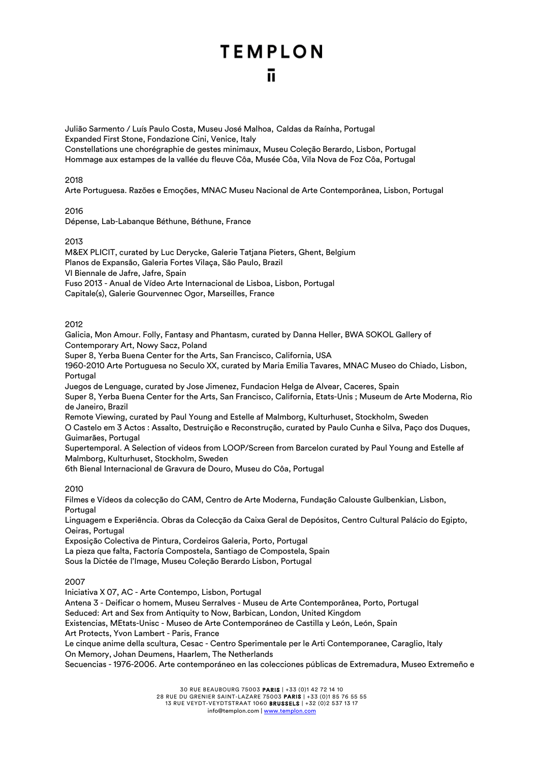Julião Sarmento / Luís Paulo Costa, Museu José Malhoa, Caldas da Raínha, Portugal Expanded First Stone, Fondazione Cini, Venice, Italy Constellations une chorégraphie de gestes minimaux, Museu Coleção Berardo, Lisbon, Portugal Hommage aux estampes de la vallée du fleuve Côa, Musée Côa, Vila Nova de Foz Côa, Portugal

## 2018

Arte Portuguesa. Razões e Emoções, MNAC Museu Nacional de Arte Contemporânea, Lisbon, Portugal

#### 2016

Dépense, Lab-Labanque Béthune, Béthune, France

#### 2013

M&EX PLICIT, curated by Luc Derycke, Galerie Tatjana Pieters, Ghent, Belgium Planos de Expansão, Galeria Fortes Vilaça, São Paulo, Brazil VI Biennale de Jafre, Jafre, Spain

Fuso 2013 - Anual de Vídeo Arte Internacional de Lisboa, Lisbon, Portugal

Capitale(s), Galerie Gourvennec Ogor, Marseilles, France

## 2012

Galicia, Mon Amour. Folly, Fantasy and Phantasm, curated by Danna Heller, BWA SOKOL Gallery of Contemporary Art, Nowy Sacz, Poland

Super 8, Yerba Buena Center for the Arts, San Francisco, California, USA

1960-2010 Arte Portuguesa no Seculo XX, curated by Maria Emilia Tavares, MNAC Museo do Chiado, Lisbon, **Portugal** 

Juegos de Lenguage, curated by Jose Jimenez, Fundacion Helga de Alvear, Caceres, Spain Super 8, Yerba Buena Center for the Arts, San Francisco, California, Etats-Unis ; Museum de Arte Moderna, Rio de Janeiro, Brazil

Remote Viewing, curated by Paul Young and Estelle af Malmborg, Kulturhuset, Stockholm, Sweden O Castelo em 3 Actos : Assalto, Destruição e Reconstrução, curated by Paulo Cunha e Silva, Paço dos Duques, Guimarães, Portugal

Supertemporal. A Selection of videos from LOOP/Screen from Barcelon curated by Paul Young and Estelle af Malmborg, Kulturhuset, Stockholm, Sweden

6th Bienal Internacional de Gravura de Douro, Museu do Côa, Portugal

## 2010

Filmes e Vídeos da colecção do CAM, Centro de Arte Moderna, Fundação Calouste Gulbenkian, Lisbon, Portugal

Linguagem e Experiência. Obras da Colecção da Caixa Geral de Depósitos, Centro Cultural Palácio do Egipto, Oeiras, Portugal

Exposição Colectiva de Pintura, Cordeiros Galeria, Porto, Portugal

La pieza que falta, Factoría Compostela, Santiago de Compostela, Spain

Sous la Dictée de l'Image, Museu Coleção Berardo Lisbon, Portugal

2007

Iniciativa X 07, AC - Arte Contempo, Lisbon, Portugal

Antena 3 - Deificar o homem, Museu Serralves - Museu de Arte Contemporânea, Porto, Portugal

Seduced: Art and Sex from Antiquity to Now, Barbican, London, United Kingdom

Existencias, MEtats-Unisc - Museo de Arte Contemporáneo de Castilla y León, León, Spain

Art Protects, Yvon Lambert - Paris, France

Le cinque anime della scultura, Cesac - Centro Sperimentale per le Arti Contemporanee, Caraglio, Italy On Memory, Johan Deumens, Haarlem, The Netherlands

Secuencias - 1976-2006. Arte contemporáneo en las colecciones públicas de Extremadura, Museo Extremeño e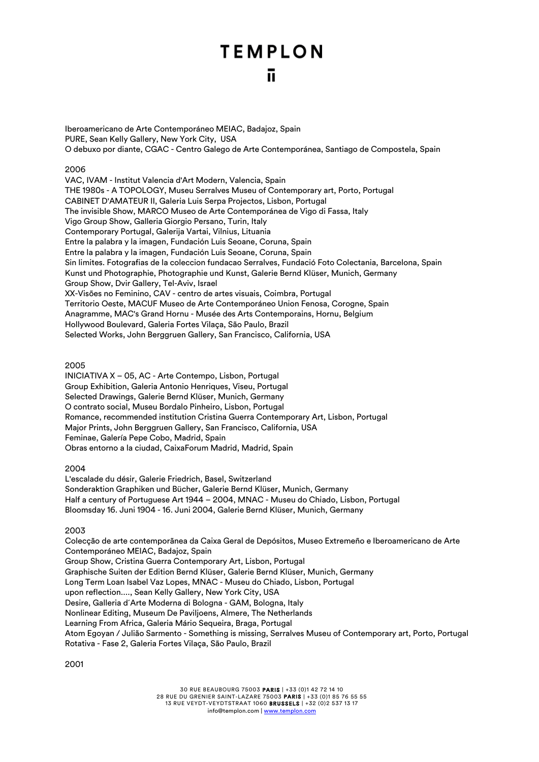Iberoamericano de Arte Contemporáneo MEIAC, Badajoz, Spain PURE, Sean Kelly Gallery, New York City, USA O debuxo por diante, CGAC - Centro Galego de Arte Contemporánea, Santiago de Compostela, Spain

### 2006

VAC, IVAM - Institut Valencia d'Art Modern, Valencia, Spain THE 1980s - A TOPOLOGY, Museu Serralves Museu of Contemporary art, Porto, Portugal CABINET D'AMATEUR II, Galeria Luis Serpa Projectos, Lisbon, Portugal The invisible Show, MARCO Museo de Arte Contemporánea de Vigo di Fassa, Italy Vigo Group Show, Galleria Giorgio Persano, Turin, Italy Contemporary Portugal, Galerija Vartai, Vilnius, Lituania Entre la palabra y la imagen, Fundación Luis Seoane, Coruna, Spain Entre la palabra y la imagen, Fundación Luis Seoane, Coruna, Spain Sin limites. Fotografias de la coleccion fundacao Serralves, Fundació Foto Colectania, Barcelona, Spain Kunst und Photographie, Photographie und Kunst, Galerie Bernd Klüser, Munich, Germany Group Show, Dvir Gallery, Tel-Aviv, Israel XX-Visões no Feminino, CAV - centro de artes visuais, Coimbra, Portugal Territorio Oeste, MACUF Museo de Arte Contemporáneo Union Fenosa, Corogne, Spain Anagramme, MAC's Grand Hornu - Musée des Arts Contemporains, Hornu, Belgium Hollywood Boulevard, Galeria Fortes Vilaça, São Paulo, Brazil Selected Works, John Berggruen Gallery, San Francisco, California, USA

#### 2005

INICIATIVA X – 05, AC - Arte Contempo, Lisbon, Portugal Group Exhibition, Galeria Antonio Henriques, Viseu, Portugal Selected Drawings, Galerie Bernd Klüser, Munich, Germany O contrato social, Museu Bordalo Pinheiro, Lisbon, Portugal Romance, recommended institution Cristina Guerra Contemporary Art, Lisbon, Portugal Major Prints, John Berggruen Gallery, San Francisco, California, USA Feminae, Galería Pepe Cobo, Madrid, Spain Obras entorno a la ciudad, CaixaForum Madrid, Madrid, Spain

#### 2004

L'escalade du désir, Galerie Friedrich, Basel, Switzerland Sonderaktion Graphiken und Bücher, Galerie Bernd Klüser, Munich, Germany Half a century of Portuguese Art 1944 – 2004, MNAC - Museu do Chiado, Lisbon, Portugal Bloomsday 16. Juni 1904 - 16. Juni 2004, Galerie Bernd Klüser, Munich, Germany

#### 2003

Colecção de arte contemporãnea da Caixa Geral de Depósitos, Museo Extremeño e Iberoamericano de Arte Contemporáneo MEIAC, Badajoz, Spain Group Show, Cristina Guerra Contemporary Art, Lisbon, Portugal Graphische Suiten der Edition Bernd Klüser, Galerie Bernd Klüser, Munich, Germany Long Term Loan Isabel Vaz Lopes, MNAC - Museu do Chiado, Lisbon, Portugal upon reflection...., Sean Kelly Gallery, New York City, USA Desire, Galleria d´Arte Moderna di Bologna - GAM, Bologna, Italy Nonlinear Editing, Museum De Paviljoens, Almere, The Netherlands Learning From Africa, Galeria Mário Sequeira, Braga, Portugal Atom Egoyan / Julião Sarmento - Something is missing, Serralves Museu of Contemporary art, Porto, Portugal Rotativa - Fase 2, Galeria Fortes Vilaça, São Paulo, Brazil

2001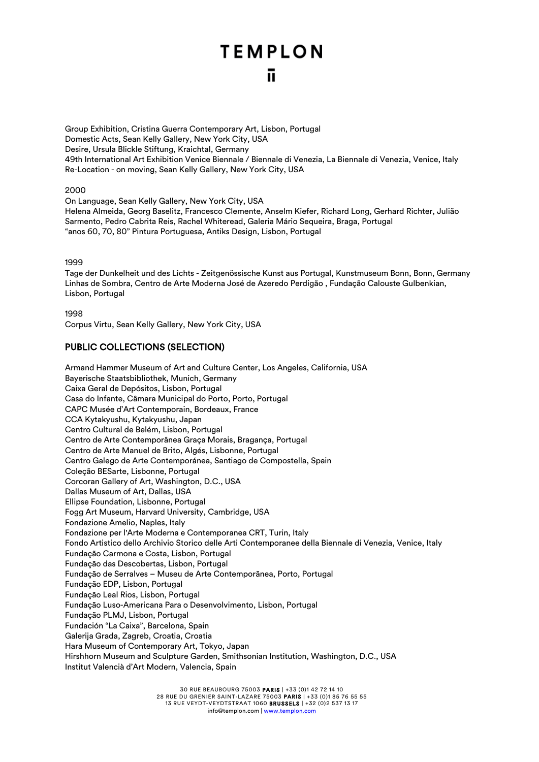Group Exhibition, Cristina Guerra Contemporary Art, Lisbon, Portugal Domestic Acts, Sean Kelly Gallery, New York City, USA Desire, Ursula Blickle Stiftung, Kraichtal, Germany 49th International Art Exhibition Venice Biennale / Biennale di Venezia, La Biennale di Venezia, Venice, Italy Re-Location - on moving, Sean Kelly Gallery, New York City, USA

2000

On Language, Sean Kelly Gallery, New York City, USA Helena Almeida, Georg Baselitz, Francesco Clemente, Anselm Kiefer, Richard Long, Gerhard Richter, Julião Sarmento, Pedro Cabrita Reis, Rachel Whiteread, Galeria Mário Sequeira, Braga, Portugal "anos 60, 70, 80" Pintura Portuguesa, Antiks Design, Lisbon, Portugal

## 1999

Tage der Dunkelheit und des Lichts - Zeitgenössische Kunst aus Portugal, Kunstmuseum Bonn, Bonn, Germany Linhas de Sombra, Centro de Arte Moderna José de Azeredo Perdigão , Fundação Calouste Gulbenkian, Lisbon, Portugal

1998 Corpus Virtu, Sean Kelly Gallery, New York City, USA

## PUBLIC COLLECTIONS (SELECTION)

Armand Hammer Museum of Art and Culture Center, Los Angeles, California, USA Bayerische Staatsbibliothek, Munich, Germany Caixa Geral de Depósitos, Lisbon, Portugal Casa do Infante, Câmara Municipal do Porto, Porto, Portugal CAPC Musée d'Art Contemporain, Bordeaux, France CCA Kytakyushu, Kytakyushu, Japan Centro Cultural de Belém, Lisbon, Portugal Centro de Arte Contemporânea Graça Morais, Bragança, Portugal Centro de Arte Manuel de Brito, Algés, Lisbonne, Portugal Centro Galego de Arte Contemporánea, Santiago de Compostella, Spain Coleção BESarte, Lisbonne, Portugal Corcoran Gallery of Art, Washington, D.C., USA Dallas Museum of Art, Dallas, USA Ellipse Foundation, Lisbonne, Portugal Fogg Art Museum, Harvard University, Cambridge, USA Fondazione Amelio, Naples, Italy Fondazione per l'Arte Moderna e Contemporanea CRT, Turin, Italy Fondo Artistico dello Archivio Storico delle Arti Contemporanee della Biennale di Venezia, Venice, Italy Fundação Carmona e Costa, Lisbon, Portugal Fundação das Descobertas, Lisbon, Portugal Fundação de Serralves – Museu de Arte Contemporãnea, Porto, Portugal Fundação EDP, Lisbon, Portugal Fundação Leal Rios, Lisbon, Portugal Fundação Luso-Americana Para o Desenvolvimento, Lisbon, Portugal Fundação PLMJ, Lisbon, Portugal Fundación "La Caixa", Barcelona, Spain Galerija Grada, Zagreb, Croatia, Croatia Hara Museum of Contemporary Art, Tokyo, Japan Hirshhorn Museum and Sculpture Garden, Smithsonian Institution, Washington, D.C., USA Institut Valencià d'Art Modern, Valencia, Spain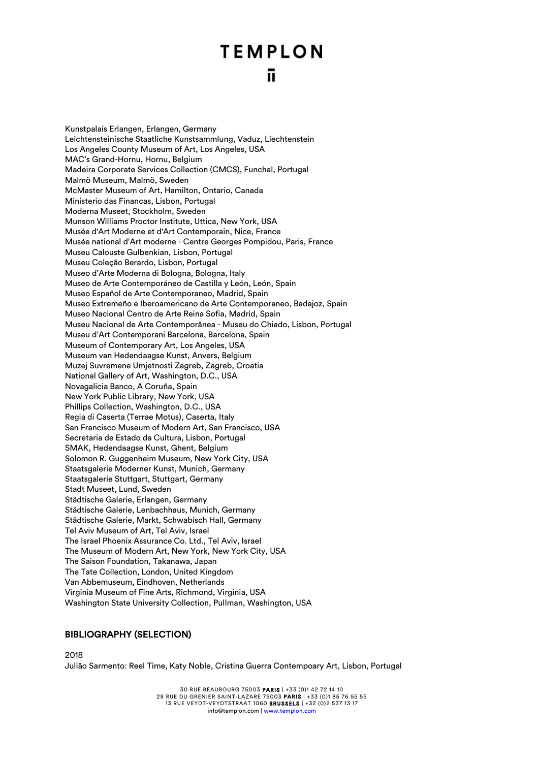Kunstpalais Erlangen, Erlangen, Germany Leichtensteinische Staatliche Kunstsammlung, Vaduz, Liechtenstein Los Angeles County Museum of Art, Los Angeles, USA MAC's Grand-Hornu, Hornu, Belgium Madeira Corporate Services Collection (CMCS), Funchal, Portugal Malmö Museum, Malmö, Sweden McMaster Museum of Art, Hamilton, Ontario, Canada Ministerio das Financas, Lisbon, Portugal Moderna Museet, Stockholm, Sweden Munson Williams Proctor Institute, Uttica, New York, USA Musée d'Art Moderne et d'Art Contemporain, Nice, France Musée national d'Art moderne - Centre Georges Pompidou, Paris, France Museu Calouste Gulbenkian, Lisbon, Portugal Museu Coleção Berardo, Lisbon, Portugal Museo d'Arte Moderna di Bologna, Bologna, Italy Museo de Arte Contemporáneo de Castilla y León, León, Spain Museo Español de Arte Contemporaneo, Madrid, Spain Museo Extremeño e Iberoamericano de Arte Contemporaneo, Badajoz, Spain Museo Nacional Centro de Arte Reina Sofia, Madrid, Spain Museu Nacional de Arte Contemporânea - Museu do Chiado, Lisbon, Portugal Museu d'Art Contemporani Barcelona, Barcelona, Spain Museum of Contemporary Art, Los Angeles, USA Museum van Hedendaagse Kunst, Anvers, Belgium Muzej Suvremene Umjetnosti Zagreb, Zagreb, Croatia National Gallery of Art, Washington, D.C., USA Novagalicia Banco, A Coruña, Spain New York Public Library, New York, USA Phillips Collection, Washington, D.C., USA Regia di Caserta (Terrae Motus), Caserta, Italy San Francisco Museum of Modern Art, San Francisco, USA Secretaria de Estado da Cultura, Lisbon, Portugal SMAK, Hedendaagse Kunst, Ghent, Belgium Solomon R. Guggenheim Museum, New York City, USA Staatsgalerie Moderner Kunst, Munich, Germany Staatsgalerie Stuttgart, Stuttgart, Germany Stadt Museet, Lund, Sweden Städtische Galerie, Erlangen, Germany Städtische Galerie, Lenbachhaus, Munich, Germany Städtische Galerie, Markt, Schwabisch Hall, Germany Tel Aviv Museum of Art, Tel Aviv, Israel The Israel Phoenix Assurance Co. Ltd., Tel Aviv, Israel The Museum of Modern Art, New York, New York City, USA The Saison Foundation, Takanawa, Japan The Tate Collection, London, United Kingdom Van Abbemuseum, Eindhoven, Netherlands Virginia Museum of Fine Arts, Richmond, Virginia, USA Washington State University Collection, Pullman, Washington, USA

## BIBLIOGRAPHY (SELECTION)

2018

Julião Sarmento: Reel Time, Katy Noble, Cristina Guerra Contempoary Art, Lisbon, Portugal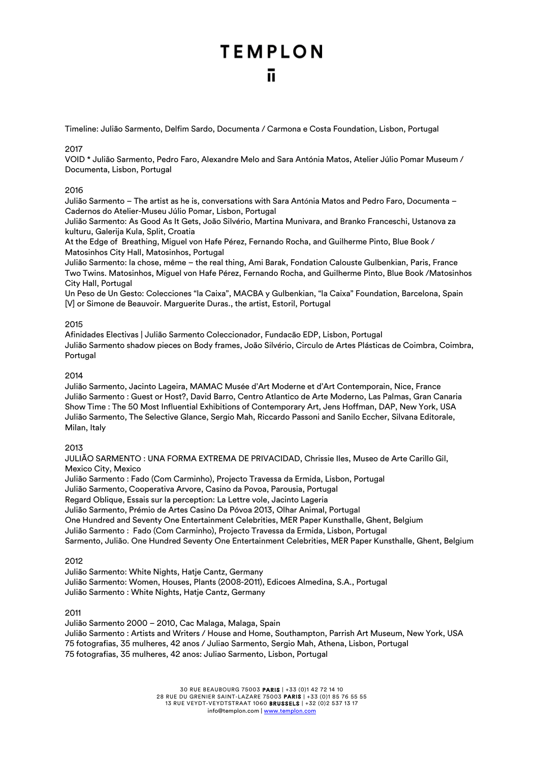Timeline: Julião Sarmento, Delfim Sardo, Documenta / Carmona e Costa Foundation, Lisbon, Portugal

## 2017

VOID \* Julião Sarmento, Pedro Faro, Alexandre Melo and Sara Antónia Matos, Atelier Júlio Pomar Museum / Documenta, Lisbon, Portugal

## 2016

Julião Sarmento – The artist as he is, conversations with Sara Antónia Matos and Pedro Faro, Documenta – Cadernos do Atelier-Museu Júlio Pomar, Lisbon, Portugal

Julião Sarmento: As Good As It Gets, João Silvério, Martina Munivara, and Branko Franceschi, Ustanova za kulturu, Galerija Kula, Split, Croatia

At the Edge of Breathing, Miguel von Hafe Pérez, Fernando Rocha, and Guilherme Pinto, Blue Book / Matosinhos City Hall, Matosinhos, Portugal

Julião Sarmento: la chose, même – the real thing, Ami Barak, Fondation Calouste Gulbenkian, Paris, France Two Twins. Matosinhos, Miguel von Hafe Pérez, Fernando Rocha, and Guilherme Pinto, Blue Book /Matosinhos City Hall, Portugal

Un Peso de Un Gesto: Colecciones "la Caixa", MACBA y Gulbenkian, "la Caixa" Foundation, Barcelona, Spain [V] or Simone de Beauvoir. Marguerite Duras., the artist, Estoril, Portugal

## 2015

Afinidades Electivas | Julião Sarmento Coleccionador, Fundacão EDP, Lisbon, Portugal Julião Sarmento shadow pieces on Body frames, João Silvério, Circulo de Artes Plásticas de Coimbra, Coimbra, Portugal

## 2014

Julião Sarmento, Jacinto Lageira, MAMAC Musée d'Art Moderne et d'Art Contemporain, Nice, France Julião Sarmento : Guest or Host?, David Barro, Centro Atlantico de Arte Moderno, Las Palmas, Gran Canaria Show Time : The 50 Most Influential Exhibitions of Contemporary Art, Jens Hoffman, DAP, New York, USA Julião Sarmento, The Selective Glance, Sergio Mah, Riccardo Passoni and Sanilo Eccher, Silvana Editorale, Milan, Italy

## 2013

JULIÃO SARMENTO : UNA FORMA EXTREMA DE PRIVACIDAD, Chrissie Iles, Museo de Arte Carillo Gil, Mexico City, Mexico Julião Sarmento : Fado (Com Carminho), Projecto Travessa da Ermida, Lisbon, Portugal

Julião Sarmento, Cooperativa Arvore, Casino da Povoa, Parousia, Portugal

Regard Oblique, Essais sur la perception: La Lettre vole, Jacinto Lageria

Julião Sarmento, Prémio de Artes Casino Da Póvoa 2013, Olhar Animal, Portugal

One Hundred and Seventy One Entertainment Celebrities, MER Paper Kunsthalle, Ghent, Belgium

Julião Sarmento : Fado (Com Carminho), Projecto Travessa da Ermida, Lisbon, Portugal

Sarmento, Julião. One Hundred Seventy One Entertainment Celebrities, MER Paper Kunsthalle, Ghent, Belgium

## 2012

Julião Sarmento: White Nights, Hatje Cantz, Germany Julião Sarmento: Women, Houses, Plants (2008-2011), Edicoes Almedina, S.A., Portugal Julião Sarmento : White Nights, Hatje Cantz, Germany

## 2011

Julião Sarmento 2000 – 2010, Cac Malaga, Malaga, Spain Julião Sarmento : Artists and Writers / House and Home, Southampton, Parrish Art Museum, New York, USA 75 fotografias, 35 mulheres, 42 anos / Juliao Sarmento, Sergio Mah, Athena, Lisbon, Portugal 75 fotografias, 35 mulheres, 42 anos: Juliao Sarmento, Lisbon, Portugal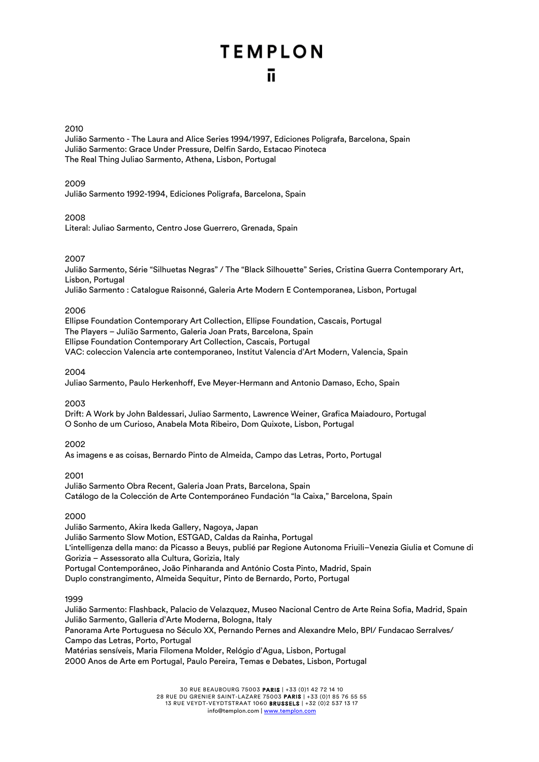## 2010

Julião Sarmento - The Laura and Alice Series 1994/1997, Ediciones Poligrafa, Barcelona, Spain Julião Sarmento: Grace Under Pressure, Delfin Sardo, Estacao Pinoteca The Real Thing Juliao Sarmento, Athena, Lisbon, Portugal

## 2009

Julião Sarmento 1992-1994, Ediciones Poligrafa, Barcelona, Spain

## 2008

Literal: Juliao Sarmento, Centro Jose Guerrero, Grenada, Spain

## 2007

Julião Sarmento, Série "Silhuetas Negras" / The "Black Silhouette" Series, Cristina Guerra Contemporary Art, Lisbon, Portugal

Julião Sarmento : Catalogue Raisonné, Galeria Arte Modern E Contemporanea, Lisbon, Portugal

## 2006

Ellipse Foundation Contemporary Art Collection, Ellipse Foundation, Cascais, Portugal The Players – Julião Sarmento, Galeria Joan Prats, Barcelona, Spain Ellipse Foundation Contemporary Art Collection, Cascais, Portugal VAC: coleccion Valencia arte contemporaneo, Institut Valencia d'Art Modern, Valencia, Spain

## 2004

Juliao Sarmento, Paulo Herkenhoff, Eve Meyer-Hermann and Antonio Damaso, Echo, Spain

## 2003

Drift: A Work by John Baldessari, Juliao Sarmento, Lawrence Weiner, Grafica Maiadouro, Portugal O Sonho de um Curioso, Anabela Mota Ribeiro, Dom Quixote, Lisbon, Portugal

## 2002

As imagens e as coisas, Bernardo Pinto de Almeida, Campo das Letras, Porto, Portugal

## 2001

Julião Sarmento Obra Recent, Galeria Joan Prats, Barcelona, Spain Catálogo de la Colección de Arte Contemporáneo Fundación "la Caixa," Barcelona, Spain

## 2000

Julião Sarmento, Akira Ikeda Gallery, Nagoya, Japan Julião Sarmento Slow Motion, ESTGAD, Caldas da Rainha, Portugal L'intelligenza della mano: da Picasso a Beuys, publié par Regione Autonoma Friuili–Venezia Giulia et Comune di Gorizia – Assessorato alla Cultura, Gorizia, Italy Portugal Contemporâneo, João Pinharanda and António Costa Pinto, Madrid, Spain Duplo constrangimento, Almeida Sequitur, Pinto de Bernardo, Porto, Portugal

## 1999

Julião Sarmento: Flashback, Palacio de Velazquez, Museo Nacional Centro de Arte Reina Sofia, Madrid, Spain Julião Sarmento, Galleria d'Arte Moderna, Bologna, Italy Panorama Arte Portuguesa no Século XX, Pernando Pernes and Alexandre Melo, BPI/ Fundacao Serralves/ Campo das Letras, Porto, Portugal

Matérias sensíveis, Maria Filomena Molder, Relógio d'Agua, Lisbon, Portugal 2000 Anos de Arte em Portugal, Paulo Pereira, Temas e Debates, Lisbon, Portugal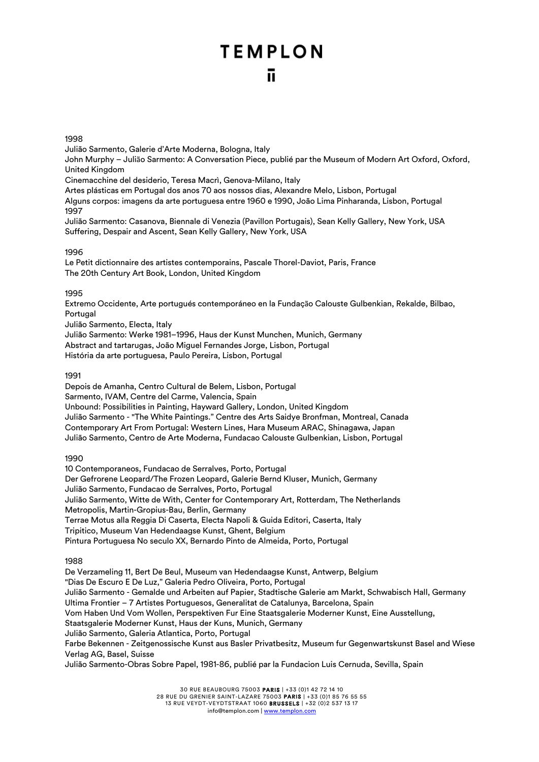### 1998

Julião Sarmento, Galerie d'Arte Moderna, Bologna, Italy John Murphy – Julião Sarmento: A Conversation Piece, publié par the Museum of Modern Art Oxford, Oxford, United Kingdom Cinemacchine del desiderio, Teresa Macrì, Genova-Milano, Italy

Artes plásticas em Portugal dos anos 70 aos nossos dias, Alexandre Melo, Lisbon, Portugal

Alguns corpos: imagens da arte portuguesa entre 1960 e 1990, João Lima Pinharanda, Lisbon, Portugal 1997

Julião Sarmento: Casanova, Biennale di Venezia (Pavillon Portugais), Sean Kelly Gallery, New York, USA Suffering, Despair and Ascent, Sean Kelly Gallery, New York, USA

## 1996

Le Petit dictionnaire des artistes contemporains, Pascale Thorel-Daviot, Paris, France The 20th Century Art Book, London, United Kingdom

### 1995

Extremo Occidente, Arte portugués contemporáneo en la Fundação Calouste Gulbenkian, Rekalde, Bilbao, Portugal

Julião Sarmento, Electa, Italy

Julião Sarmento: Werke 1981–1996, Haus der Kunst Munchen, Munich, Germany Abstract and tartarugas, João Miguel Fernandes Jorge, Lisbon, Portugal História da arte portuguesa, Paulo Pereira, Lisbon, Portugal

## 1991

Depois de Amanha, Centro Cultural de Belem, Lisbon, Portugal Sarmento, IVAM, Centre del Carme, Valencia, Spain Unbound: Possibilities in Painting, Hayward Gallery, London, United Kingdom Julião Sarmento - "The White Paintings." Centre des Arts Saidye Bronfman, Montreal, Canada Contemporary Art From Portugal: Western Lines, Hara Museum ARAC, Shinagawa, Japan Julião Sarmento, Centro de Arte Moderna, Fundacao Calouste Gulbenkian, Lisbon, Portugal

#### 1990

10 Contemporaneos, Fundacao de Serralves, Porto, Portugal Der Gefrorene Leopard/The Frozen Leopard, Galerie Bernd Kluser, Munich, Germany Julião Sarmento, Fundacao de Serralves, Porto, Portugal Julião Sarmento, Witte de With, Center for Contemporary Art, Rotterdam, The Netherlands Metropolis, Martin-Gropius-Bau, Berlin, Germany Terrae Motus alla Reggia Di Caserta, Electa Napoli & Guida Editori, Caserta, Italy Tripitico, Museum Van Hedendaagse Kunst, Ghent, Belgium Pintura Portuguesa No seculo XX, Bernardo Pinto de Almeida, Porto, Portugal

## 1988

De Verzameling 11, Bert De Beul, Museum van Hedendaagse Kunst, Antwerp, Belgium "Dias De Escuro E De Luz," Galeria Pedro Oliveira, Porto, Portugal Julião Sarmento - Gemalde und Arbeiten auf Papier, Stadtische Galerie am Markt, Schwabisch Hall, Germany Ultima Frontier – 7 Artistes Portuguesos, Generalitat de Catalunya, Barcelona, Spain Vom Haben Und Vom Wollen, Perspektiven Fur Eine Staatsgalerie Moderner Kunst, Eine Ausstellung, Staatsgalerie Moderner Kunst, Haus der Kuns, Munich, Germany Julião Sarmento, Galeria Atlantica, Porto, Portugal Farbe Bekennen - Zeitgenossische Kunst aus Basler Privatbesitz, Museum fur Gegenwartskunst Basel and Wiese Verlag AG, Basel, Suisse Julião Sarmento-Obras Sobre Papel, 1981-86, publié par la Fundacion Luis Cernuda, Sevilla, Spain